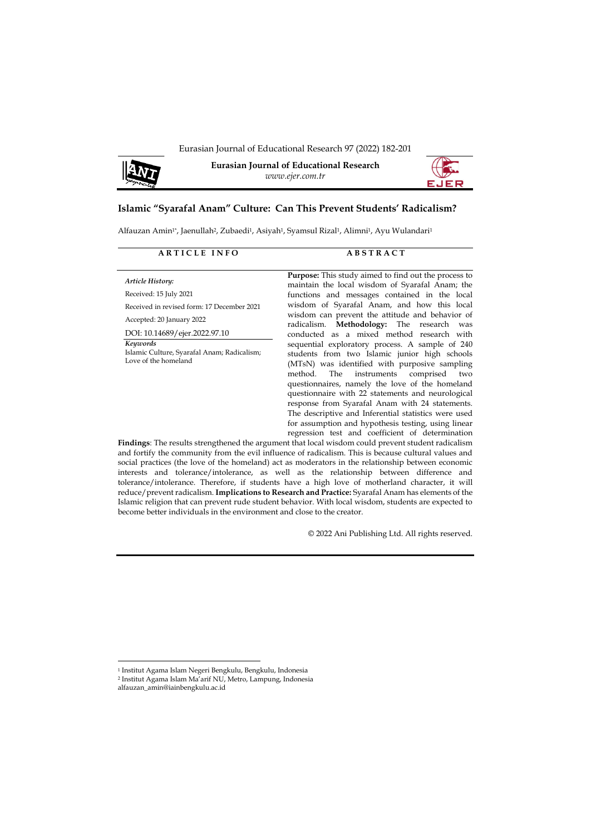Eurasian Journal of Educational Research 97 (2022) 182-201



**Eurasian Journal of Educational Research** *www.ejer.com.tr*



# **Islamic "Syarafal Anam" Culture: Can This Prevent Students' Radicalism?**

Alfauzan Amin<sup>1\*</sup>, Jaenullah<sup>2</sup>, Zubaedi<sup>1</sup>, Asiyah<sup>1</sup>, Syamsul Rizal<sup>1</sup>, Alimni<sup>1</sup>, Ayu Wulandari<sup>1</sup>

#### **A R T I C L E I N F O A B S T R A C T**

*Article History:* Received: 15 July 2021

Received in revised form: 17 December 2021

Accepted: 20 January 2022

DOI: 10.14689/ejer.2022.97.10

*Keywords* Islamic Culture, Syarafal Anam; Radicalism; Love of the homeland

Purpose: This study aimed to find out the process to maintain the local wisdom of Syarafal Anam; the functions and messages contained in the local wisdom of Syarafal Anam, and how this local wisdom can prevent the attitude and behavior of radicalism. **Methodology:** The research was conducted as a mixed method research with sequential exploratory process. A sample of 240 students from two Islamic junior high schools (MTsN) was identified with purposive sampling<br>method. The instruments comprised two method. The instruments questionnaires, namely the love of the homeland questionnaire with 22 statements and neurological response from Syarafal Anam with 24 statements. The descriptive and Inferential statistics were used for assumption and hypothesis testing, using linear regression test and coefficient of determination

**Findings**: The results strengthened the argument that local wisdom could prevent student radicalism and fortify the community from the evil influence of radicalism. This is because cultural values and social practices (the love of the homeland) act as moderators in the relationship between economic interests and tolerance/intolerance, as well as the relationship between difference and tolerance/intolerance. Therefore, if students have a high love of motherland character, it will reduce/prevent radicalism. **Implications to Research and Practice:** Syarafal Anam has elements of the Islamic religion that can prevent rude student behavior. With local wisdom, students are expected to become better individuals in the environment and close to the creator.

© 2022 Ani Publishing Ltd. All rights reserved.

<sup>1</sup> Institut Agama Islam Negeri Bengkulu, Bengkulu, Indonesia

<sup>2</sup> Institut Agama Islam Ma'arif NU, Metro, Lampung, Indonesia

alfauzan\_amin@iainbengkulu.ac.id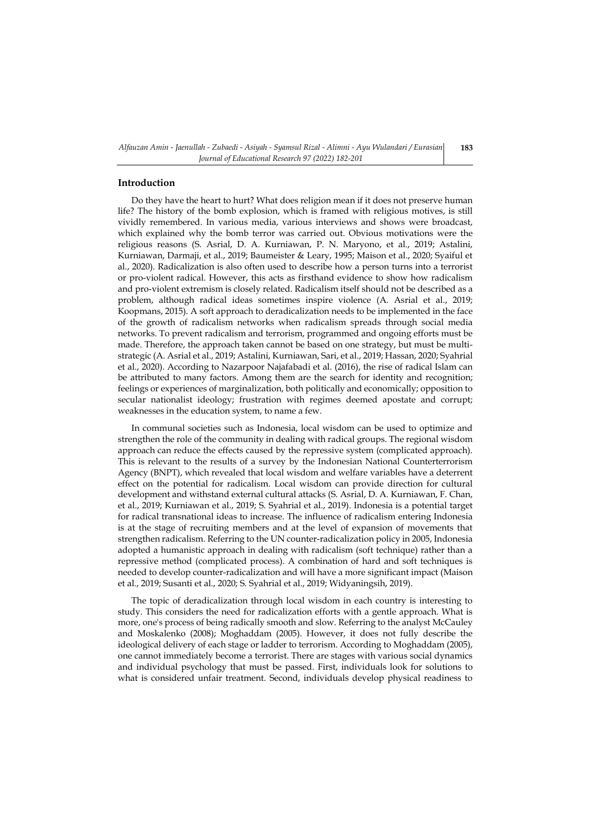# **Introduction**

Do they have the heart to hurt? What does religion mean if it does not preserve human life? The history of the bomb explosion, which is framed with religious motives, is still vividly remembered. In various media, various interviews and shows were broadcast, which explained why the bomb terror was carried out. Obvious motivations were the religious reasons (S. Asrial, D. A. Kurniawan, P. N. Maryono, et al., 2019; Astalini, Kurniawan, Darmaji, et al., 2019; Baumeister & Leary, 1995; Maison et al., 2020; Syaiful et al., 2020). Radicalization is also often used to describe how a person turns into a terrorist or pro-violent radical. However, this acts as firsthand evidence to show how radicalism and pro-violent extremism is closely related. Radicalism itself should not be described as a problem, although radical ideas sometimes inspire violence (A. Asrial et al., 2019; Koopmans, 2015). A soft approach to deradicalization needs to be implemented in the face of the growth of radicalism networks when radicalism spreads through social media networks. To prevent radicalism and terrorism, programmed and ongoing efforts must be made. Therefore, the approach taken cannot be based on one strategy, but must be multistrategic (A. Asrial et al., 2019; Astalini, Kurniawan, Sari, et al., 2019; Hassan, 2020; Syahrial et al., 2020). According to Nazarpoor Najafabadi et al. (2016), the rise of radical Islam can be attributed to many factors. Among them are the search for identity and recognition; feelings or experiences of marginalization, both politically and economically; opposition to secular nationalist ideology; frustration with regimes deemed apostate and corrupt; weaknesses in the education system, to name a few.

In communal societies such as Indonesia, local wisdom can be used to optimize and strengthen the role of the community in dealing with radical groups. The regional wisdom approach can reduce the effects caused by the repressive system (complicated approach). This is relevant to the results of a survey by the Indonesian National Counterterrorism Agency (BNPT), which revealed that local wisdom and welfare variables have a deterrent effect on the potential for radicalism. Local wisdom can provide direction for cultural development and withstand external cultural attacks (S. Asrial, D. A. Kurniawan, F. Chan, et al., 2019; Kurniawan et al., 2019; S. Syahrial et al., 2019). Indonesia is a potential target for radical transnational ideas to increase. The influence of radicalism entering Indonesia is at the stage of recruiting members and at the level of expansion of movements that strengthen radicalism. Referring to the UN counter-radicalization policy in 2005, Indonesia adopted a humanistic approach in dealing with radicalism (soft technique) rather than a repressive method (complicated process). A combination of hard and soft techniques is needed to develop counter-radicalization and will have a more significant impact (Maison et al., 2019; Susanti et al., 2020; S. Syahrial et al., 2019; Widyaningsih, 2019).

The topic of deradicalization through local wisdom in each country is interesting to study. This considers the need for radicalization efforts with a gentle approach. What is more, one's process of being radically smooth and slow. Referring to the analyst McCauley and Moskalenko (2008); Moghaddam (2005). However, it does not fully describe the ideological delivery of each stage or ladder to terrorism. According to Moghaddam (2005), one cannot immediately become a terrorist. There are stages with various social dynamics and individual psychology that must be passed. First, individuals look for solutions to what is considered unfair treatment. Second, individuals develop physical readiness to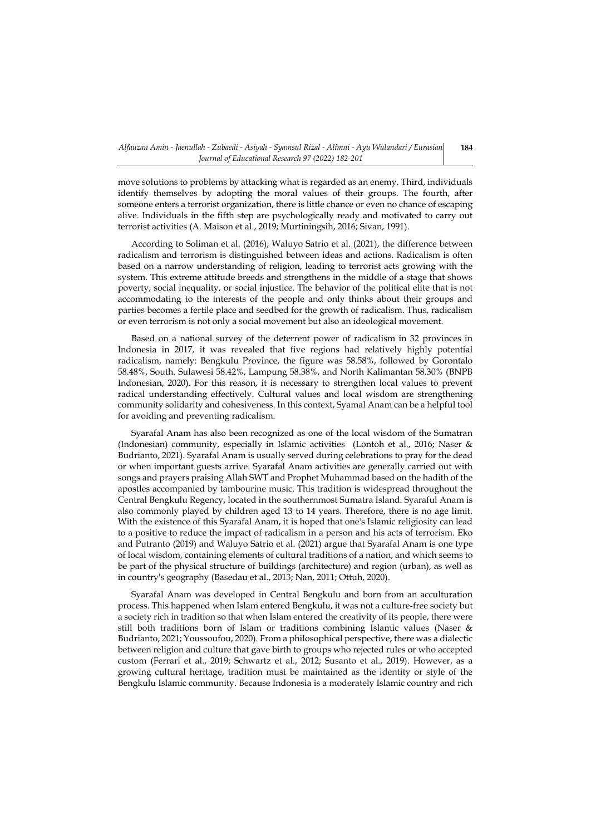move solutions to problems by attacking what is regarded as an enemy. Third, individuals identify themselves by adopting the moral values of their groups. The fourth, after someone enters a terrorist organization, there is little chance or even no chance of escaping alive. Individuals in the fifth step are psychologically ready and motivated to carry out terrorist activities (A. Maison et al., 2019; Murtiningsih, 2016; Sivan, 1991).

According to Soliman et al. (2016); Waluyo Satrio et al. (2021), the difference between radicalism and terrorism is distinguished between ideas and actions. Radicalism is often based on a narrow understanding of religion, leading to terrorist acts growing with the system. This extreme attitude breeds and strengthens in the middle of a stage that shows poverty, social inequality, or social injustice. The behavior of the political elite that is not accommodating to the interests of the people and only thinks about their groups and parties becomes a fertile place and seedbed for the growth of radicalism. Thus, radicalism or even terrorism is not only a social movement but also an ideological movement.

Based on a national survey of the deterrent power of radicalism in 32 provinces in Indonesia in 2017, it was revealed that five regions had relatively highly potential radicalism, namely: Bengkulu Province, the figure was 58.58%, followed by Gorontalo 58.48%, South. Sulawesi 58.42%, Lampung 58.38%, and North Kalimantan 58.30% (BNPB Indonesian, 2020). For this reason, it is necessary to strengthen local values to prevent radical understanding effectively. Cultural values and local wisdom are strengthening community solidarity and cohesiveness. In this context, Syamal Anam can be a helpful tool for avoiding and preventing radicalism.

Syarafal Anam has also been recognized as one of the local wisdom of the Sumatran (Indonesian) community, especially in Islamic activities (Lontoh et al., 2016; Naser & Budrianto, 2021). Syarafal Anam is usually served during celebrations to pray for the dead or when important guests arrive. Syarafal Anam activities are generally carried out with songs and prayers praising Allah SWT and Prophet Muhammad based on the hadith of the apostles accompanied by tambourine music. This tradition is widespread throughout the Central Bengkulu Regency, located in the southernmost Sumatra Island. Syaraful Anam is also commonly played by children aged 13 to 14 years. Therefore, there is no age limit. With the existence of this Syarafal Anam, it is hoped that one's Islamic religiosity can lead to a positive to reduce the impact of radicalism in a person and his acts of terrorism. Eko and Putranto (2019) and Waluyo Satrio et al. (2021) argue that Syarafal Anam is one type of local wisdom, containing elements of cultural traditions of a nation, and which seems to be part of the physical structure of buildings (architecture) and region (urban), as well as in country's geography (Basedau et al., 2013; Nan, 2011; Ottuh, 2020).

Syarafal Anam was developed in Central Bengkulu and born from an acculturation process. This happened when Islam entered Bengkulu, it was not a culture-free society but a society rich in tradition so that when Islam entered the creativity of its people, there were still both traditions born of Islam or traditions combining Islamic values (Naser & Budrianto, 2021; Youssoufou, 2020). From a philosophical perspective, there was a dialectic between religion and culture that gave birth to groups who rejected rules or who accepted custom (Ferrari et al., 2019; Schwartz et al., 2012; Susanto et al., 2019). However, as a growing cultural heritage, tradition must be maintained as the identity or style of the Bengkulu Islamic community. Because Indonesia is a moderately Islamic country and rich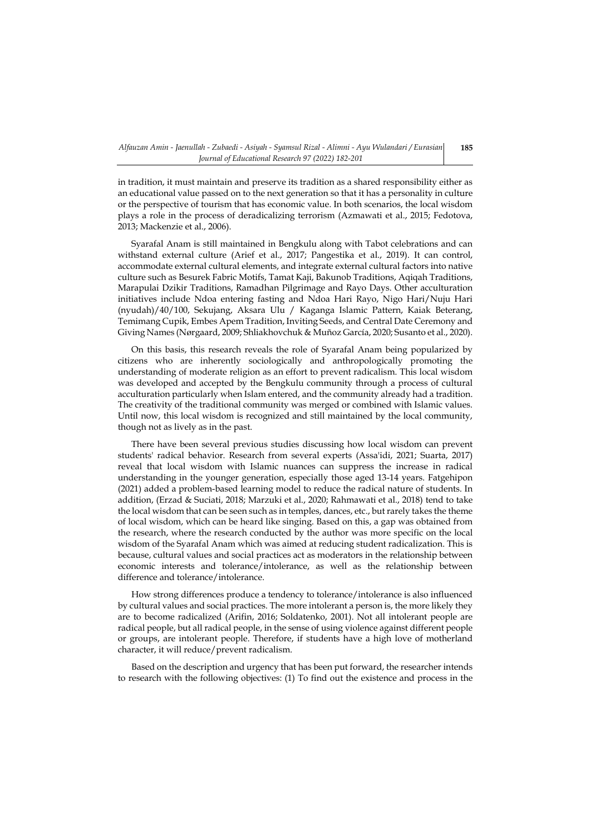in tradition, it must maintain and preserve its tradition as a shared responsibility either as an educational value passed on to the next generation so that it has a personality in culture or the perspective of tourism that has economic value. In both scenarios, the local wisdom plays a role in the process of deradicalizing terrorism (Azmawati et al., 2015; Fedotova, 2013; Mackenzie et al., 2006).

Syarafal Anam is still maintained in Bengkulu along with Tabot celebrations and can withstand external culture (Arief et al., 2017; Pangestika et al., 2019). It can control, accommodate external cultural elements, and integrate external cultural factors into native culture such as Besurek Fabric Motifs, Tamat Kaji, Bakunob Traditions, Aqiqah Traditions, Marapulai Dzikir Traditions, Ramadhan Pilgrimage and Rayo Days. Other acculturation initiatives include Ndoa entering fasting and Ndoa Hari Rayo, Nigo Hari/Nuju Hari (nyudah)/40/100, Sekujang, Aksara Ulu / Kaganga Islamic Pattern, Kaiak Beterang, Temimang Cupik, Embes Apem Tradition, Inviting Seeds, and Central Date Ceremony and Giving Names (Nørgaard, 2009; Shliakhovchuk & Muñoz García, 2020; Susanto et al., 2020).

On this basis, this research reveals the role of Syarafal Anam being popularized by citizens who are inherently sociologically and anthropologically promoting the understanding of moderate religion as an effort to prevent radicalism. This local wisdom was developed and accepted by the Bengkulu community through a process of cultural acculturation particularly when Islam entered, and the community already had a tradition. The creativity of the traditional community was merged or combined with Islamic values. Until now, this local wisdom is recognized and still maintained by the local community, though not as lively as in the past.

There have been several previous studies discussing how local wisdom can prevent students' radical behavior. Research from several experts (Assa'idi, 2021; Suarta, 2017) reveal that local wisdom with Islamic nuances can suppress the increase in radical understanding in the younger generation, especially those aged 13-14 years. Fatgehipon (2021) added a problem-based learning model to reduce the radical nature of students. In addition, (Erzad & Suciati, 2018; Marzuki et al., 2020; Rahmawati et al., 2018) tend to take the local wisdom that can be seen such as in temples, dances, etc., but rarely takes the theme of local wisdom, which can be heard like singing. Based on this, a gap was obtained from the research, where the research conducted by the author was more specific on the local wisdom of the Syarafal Anam which was aimed at reducing student radicalization. This is because, cultural values and social practices act as moderators in the relationship between economic interests and tolerance/intolerance, as well as the relationship between difference and tolerance/intolerance.

How strong differences produce a tendency to tolerance/intolerance is also influenced by cultural values and social practices. The more intolerant a person is, the more likely they are to become radicalized (Arifin, 2016; Soldatenko, 2001). Not all intolerant people are radical people, but all radical people, in the sense of using violence against different people or groups, are intolerant people. Therefore, if students have a high love of motherland character, it will reduce/prevent radicalism.

Based on the description and urgency that has been put forward, the researcher intends to research with the following objectives: (1) To find out the existence and process in the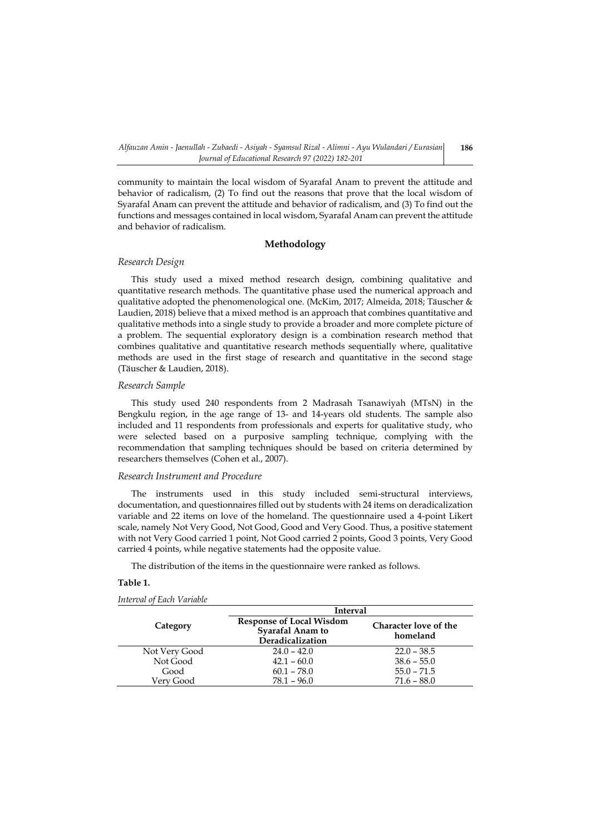community to maintain the local wisdom of Syarafal Anam to prevent the attitude and behavior of radicalism, (2) To find out the reasons that prove that the local wisdom of Syarafal Anam can prevent the attitude and behavior of radicalism, and (3) To find out the functions and messages contained in local wisdom, Syarafal Anam can prevent the attitude and behavior of radicalism.

## **Methodology**

## *Research Design*

This study used a mixed method research design, combining qualitative and quantitative research methods. The quantitative phase used the numerical approach and qualitative adopted the phenomenological one. (McKim, 2017; Almeida, 2018; Täuscher & Laudien, 2018) believe that a mixed method is an approach that combines quantitative and qualitative methods into a single study to provide a broader and more complete picture of a problem. The sequential exploratory design is a combination research method that combines qualitative and quantitative research methods sequentially where, qualitative methods are used in the first stage of research and quantitative in the second stage (Täuscher & Laudien, 2018).

#### *Research Sample*

This study used 240 respondents from 2 Madrasah Tsanawiyah (MTsN) in the Bengkulu region, in the age range of 13- and 14-years old students. The sample also included and 11 respondents from professionals and experts for qualitative study, who were selected based on a purposive sampling technique, complying with the recommendation that sampling techniques should be based on criteria determined by researchers themselves (Cohen et al., 2007).

# *Research Instrument and Procedure*

The instruments used in this study included semi-structural interviews, documentation, and questionnaires filled out by students with 24 items on deradicalization variable and 22 items on love of the homeland. The questionnaire used a 4-point Likert scale, namely Not Very Good, Not Good, Good and Very Good. Thus, a positive statement with not Very Good carried 1 point, Not Good carried 2 points, Good 3 points, Very Good carried 4 points, while negative statements had the opposite value.

The distribution of the items in the questionnaire were ranked as follows.

# **Table 1.**

*Interval of Each Variable*

|               | <b>Interval</b>                                                         |                                   |  |  |  |  |  |
|---------------|-------------------------------------------------------------------------|-----------------------------------|--|--|--|--|--|
| Category      | <b>Response of Local Wisdom</b><br>Syarafal Anam to<br>Deradicalization | Character love of the<br>homeland |  |  |  |  |  |
| Not Very Good | $24.0 - 42.0$                                                           | $22.0 - 38.5$                     |  |  |  |  |  |
| Not Good      | $42.1 - 60.0$                                                           | $38.6 - 55.0$                     |  |  |  |  |  |
| Good          | $60.1 - 78.0$                                                           | $55.0 - 71.5$                     |  |  |  |  |  |
| Verv Good     | $78.1 - 96.0$                                                           | $71.6 - 88.0$                     |  |  |  |  |  |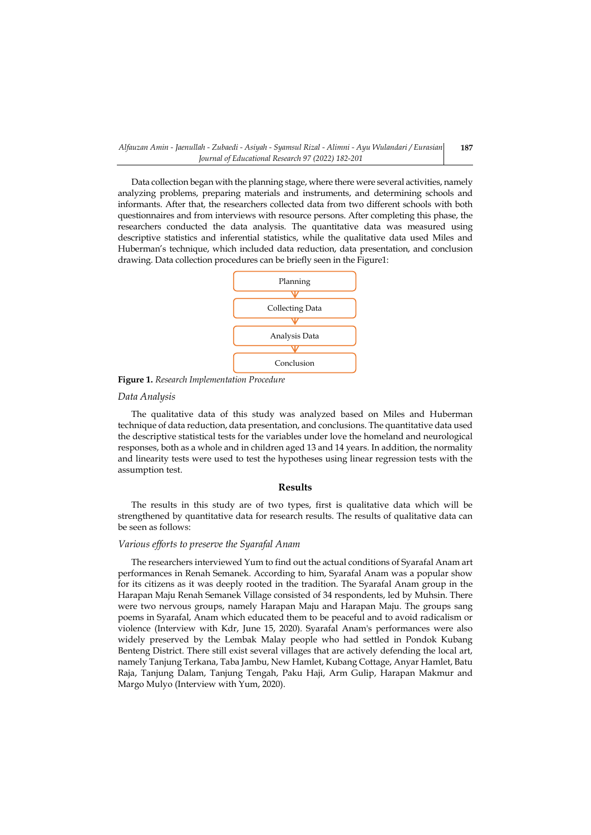*Alfauzan Amin - Jaenullah - Zubaedi - Asiyah - Syamsul Rizal - Alimni - Ayu Wulandari / Eurasian Journal of Educational Research 97 (2022) 182-201*

Data collection began with the planning stage, where there were several activities, namely analyzing problems, preparing materials and instruments, and determining schools and informants. After that, the researchers collected data from two different schools with both questionnaires and from interviews with resource persons. After completing this phase, the researchers conducted the data analysis. The quantitative data was measured using descriptive statistics and inferential statistics, while the qualitative data used Miles and Huberman's technique, which included data reduction, data presentation, and conclusion drawing. Data collection procedures can be briefly seen in the Figure1:



**Figure 1.** *Research Implementation Procedure*

#### *Data Analysis*

The qualitative data of this study was analyzed based on Miles and Huberman technique of data reduction, data presentation, and conclusions. The quantitative data used the descriptive statistical tests for the variables under love the homeland and neurological responses, both as a whole and in children aged 13 and 14 years. In addition, the normality and linearity tests were used to test the hypotheses using linear regression tests with the assumption test.

#### **Results**

The results in this study are of two types, first is qualitative data which will be strengthened by quantitative data for research results. The results of qualitative data can be seen as follows:

#### *Various efforts to preserve the Syarafal Anam*

The researchers interviewed Yum to find out the actual conditions of Syarafal Anam art performances in Renah Semanek. According to him, Syarafal Anam was a popular show for its citizens as it was deeply rooted in the tradition. The Syarafal Anam group in the Harapan Maju Renah Semanek Village consisted of 34 respondents, led by Muhsin. There were two nervous groups, namely Harapan Maju and Harapan Maju. The groups sang poems in Syarafal, Anam which educated them to be peaceful and to avoid radicalism or violence (Interview with Kdr, June 15, 2020). Syarafal Anam's performances were also widely preserved by the Lembak Malay people who had settled in Pondok Kubang Benteng District. There still exist several villages that are actively defending the local art, namely Tanjung Terkana, Taba Jambu, New Hamlet, Kubang Cottage, Anyar Hamlet, Batu Raja, Tanjung Dalam, Tanjung Tengah, Paku Haji, Arm Gulip, Harapan Makmur and Margo Mulyo (Interview with Yum, 2020).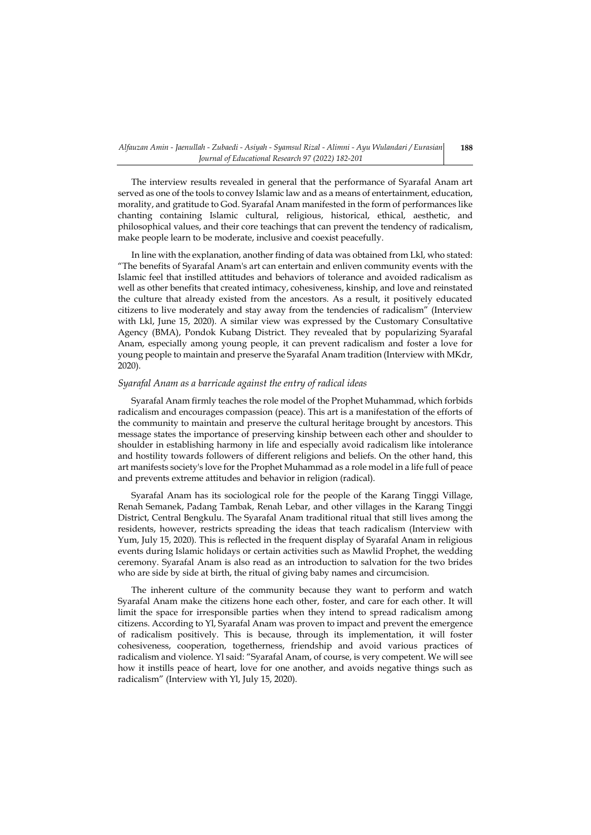The interview results revealed in general that the performance of Syarafal Anam art served as one of the tools to convey Islamic law and as a means of entertainment, education, morality, and gratitude to God. Syarafal Anam manifested in the form of performances like chanting containing Islamic cultural, religious, historical, ethical, aesthetic, and philosophical values, and their core teachings that can prevent the tendency of radicalism, make people learn to be moderate, inclusive and coexist peacefully.

In line with the explanation, another finding of data was obtained from Lkl, who stated: "The benefits of Syarafal Anam's art can entertain and enliven community events with the Islamic feel that instilled attitudes and behaviors of tolerance and avoided radicalism as well as other benefits that created intimacy, cohesiveness, kinship, and love and reinstated the culture that already existed from the ancestors. As a result, it positively educated citizens to live moderately and stay away from the tendencies of radicalism" (Interview with Lkl, June 15, 2020). A similar view was expressed by the Customary Consultative Agency (BMA), Pondok Kubang District. They revealed that by popularizing Syarafal Anam, especially among young people, it can prevent radicalism and foster a love for young people to maintain and preserve the Syarafal Anam tradition (Interview with MKdr, 2020).

## *Syarafal Anam as a barricade against the entry of radical ideas*

Syarafal Anam firmly teaches the role model of the Prophet Muhammad, which forbids radicalism and encourages compassion (peace). This art is a manifestation of the efforts of the community to maintain and preserve the cultural heritage brought by ancestors. This message states the importance of preserving kinship between each other and shoulder to shoulder in establishing harmony in life and especially avoid radicalism like intolerance and hostility towards followers of different religions and beliefs. On the other hand, this art manifests society's love for the Prophet Muhammad as a role model in a life full of peace and prevents extreme attitudes and behavior in religion (radical).

Syarafal Anam has its sociological role for the people of the Karang Tinggi Village, Renah Semanek, Padang Tambak, Renah Lebar, and other villages in the Karang Tinggi District, Central Bengkulu. The Syarafal Anam traditional ritual that still lives among the residents, however, restricts spreading the ideas that teach radicalism (Interview with Yum, July 15, 2020). This is reflected in the frequent display of Syarafal Anam in religious events during Islamic holidays or certain activities such as Mawlid Prophet, the wedding ceremony. Syarafal Anam is also read as an introduction to salvation for the two brides who are side by side at birth, the ritual of giving baby names and circumcision.

The inherent culture of the community because they want to perform and watch Syarafal Anam make the citizens hone each other, foster, and care for each other. It will limit the space for irresponsible parties when they intend to spread radicalism among citizens. According to Yl, Syarafal Anam was proven to impact and prevent the emergence of radicalism positively. This is because, through its implementation, it will foster cohesiveness, cooperation, togetherness, friendship and avoid various practices of radicalism and violence. Yl said: "Syarafal Anam, of course, is very competent. We will see how it instills peace of heart, love for one another, and avoids negative things such as radicalism" (Interview with Yl, July 15, 2020).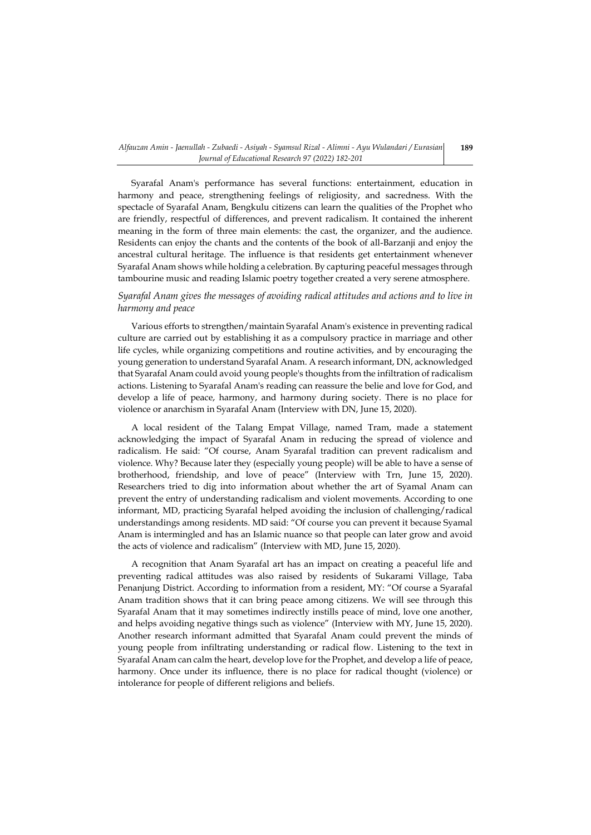Syarafal Anam's performance has several functions: entertainment, education in harmony and peace, strengthening feelings of religiosity, and sacredness. With the spectacle of Syarafal Anam, Bengkulu citizens can learn the qualities of the Prophet who are friendly, respectful of differences, and prevent radicalism. It contained the inherent meaning in the form of three main elements: the cast, the organizer, and the audience. Residents can enjoy the chants and the contents of the book of all-Barzanji and enjoy the ancestral cultural heritage. The influence is that residents get entertainment whenever Syarafal Anam shows while holding a celebration. By capturing peaceful messages through tambourine music and reading Islamic poetry together created a very serene atmosphere.

# *Syarafal Anam gives the messages of avoiding radical attitudes and actions and to live in harmony and peace*

Various efforts to strengthen/maintain Syarafal Anam's existence in preventing radical culture are carried out by establishing it as a compulsory practice in marriage and other life cycles, while organizing competitions and routine activities, and by encouraging the young generation to understand Syarafal Anam. A research informant, DN, acknowledged that Syarafal Anam could avoid young people's thoughts from the infiltration of radicalism actions. Listening to Syarafal Anam's reading can reassure the belie and love for God, and develop a life of peace, harmony, and harmony during society. There is no place for violence or anarchism in Syarafal Anam (Interview with DN, June 15, 2020).

A local resident of the Talang Empat Village, named Tram, made a statement acknowledging the impact of Syarafal Anam in reducing the spread of violence and radicalism. He said: "Of course, Anam Syarafal tradition can prevent radicalism and violence. Why? Because later they (especially young people) will be able to have a sense of brotherhood, friendship, and love of peace" (Interview with Trn, June 15, 2020). Researchers tried to dig into information about whether the art of Syamal Anam can prevent the entry of understanding radicalism and violent movements. According to one informant, MD, practicing Syarafal helped avoiding the inclusion of challenging/radical understandings among residents. MD said: "Of course you can prevent it because Syamal Anam is intermingled and has an Islamic nuance so that people can later grow and avoid the acts of violence and radicalism" (Interview with MD, June 15, 2020).

A recognition that Anam Syarafal art has an impact on creating a peaceful life and preventing radical attitudes was also raised by residents of Sukarami Village, Taba Penanjung District. According to information from a resident, MY: "Of course a Syarafal Anam tradition shows that it can bring peace among citizens. We will see through this Syarafal Anam that it may sometimes indirectly instills peace of mind, love one another, and helps avoiding negative things such as violence" (Interview with MY, June 15, 2020). Another research informant admitted that Syarafal Anam could prevent the minds of young people from infiltrating understanding or radical flow. Listening to the text in Syarafal Anam can calm the heart, develop love for the Prophet, and develop a life of peace, harmony. Once under its influence, there is no place for radical thought (violence) or intolerance for people of different religions and beliefs.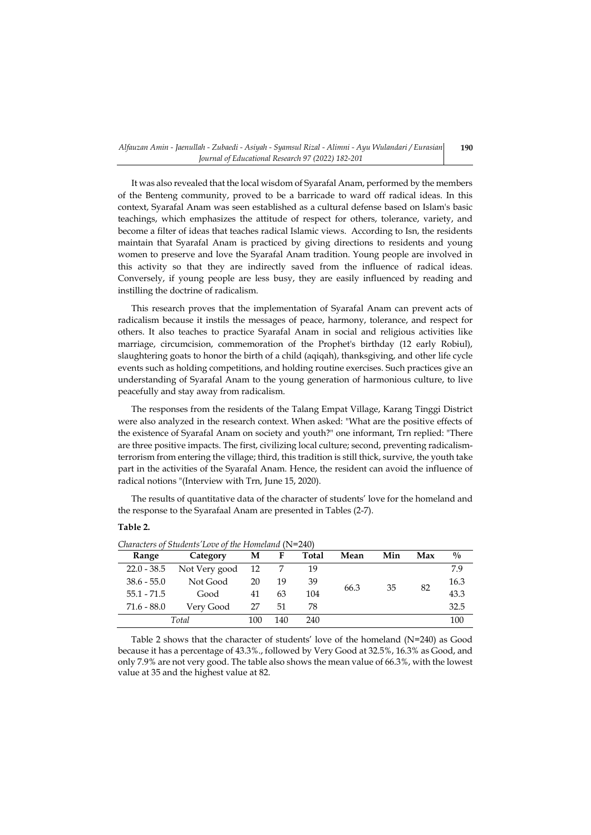It was also revealed that the local wisdom of Syarafal Anam, performed by the members of the Benteng community, proved to be a barricade to ward off radical ideas. In this context, Syarafal Anam was seen established as a cultural defense based on Islam's basic teachings, which emphasizes the attitude of respect for others, tolerance, variety, and become a filter of ideas that teaches radical Islamic views. According to Isn, the residents maintain that Syarafal Anam is practiced by giving directions to residents and young women to preserve and love the Syarafal Anam tradition. Young people are involved in this activity so that they are indirectly saved from the influence of radical ideas. Conversely, if young people are less busy, they are easily influenced by reading and instilling the doctrine of radicalism.

This research proves that the implementation of Syarafal Anam can prevent acts of radicalism because it instils the messages of peace, harmony, tolerance, and respect for others. It also teaches to practice Syarafal Anam in social and religious activities like marriage, circumcision, commemoration of the Prophet's birthday (12 early Robiul), slaughtering goats to honor the birth of a child (aqiqah), thanksgiving, and other life cycle events such as holding competitions, and holding routine exercises. Such practices give an understanding of Syarafal Anam to the young generation of harmonious culture, to live peacefully and stay away from radicalism.

The responses from the residents of the Talang Empat Village, Karang Tinggi District were also analyzed in the research context. When asked: "What are the positive effects of the existence of Syarafal Anam on society and youth?" one informant, Trn replied: "There are three positive impacts. The first, civilizing local culture; second, preventing radicalismterrorism from entering the village; third, this tradition is still thick, survive, the youth take part in the activities of the Syarafal Anam. Hence, the resident can avoid the influence of radical notions "(Interview with Trn, June 15, 2020).

The results of quantitative data of the character of students' love for the homeland and the response to the Syarafaal Anam are presented in Tables (2-7).

## **Table 2.**

| Characters of Statents Love of the Flometana $(18-240)$ |               |     |     |       |            |     |     |               |  |  |
|---------------------------------------------------------|---------------|-----|-----|-------|------------|-----|-----|---------------|--|--|
| Range                                                   | Category      | М   | F   | Total | Mean       | Min | Max | $\frac{0}{0}$ |  |  |
| $22.0 - 38.5$                                           | Not Very good | -12 |     | 19    |            |     |     | 7.9           |  |  |
| $38.6 - 55.0$                                           | Not Good      | 20  | 19  | 39    |            |     |     | 16.3          |  |  |
| $55.1 - 71.5$                                           | Good          | 41  | 63  | 104   | 35<br>66.3 |     | 82  | 43.3          |  |  |
| $71.6 - 88.0$                                           | Very Good     | 27  | 51  | 78    |            |     |     | 32.5          |  |  |
|                                                         | Total         | 100 | 140 | 240   |            |     |     | 100           |  |  |
|                                                         |               |     |     |       |            |     |     |               |  |  |

*Characters of Students'Love of the Homeland* (N=240)

Table 2 shows that the character of students' love of the homeland  $(N=240)$  as Good because it has a percentage of 43.3%., followed by Very Good at 32.5%, 16.3% as Good, and only 7.9% are not very good. The table also shows the mean value of 66.3%, with the lowest value at 35 and the highest value at 82.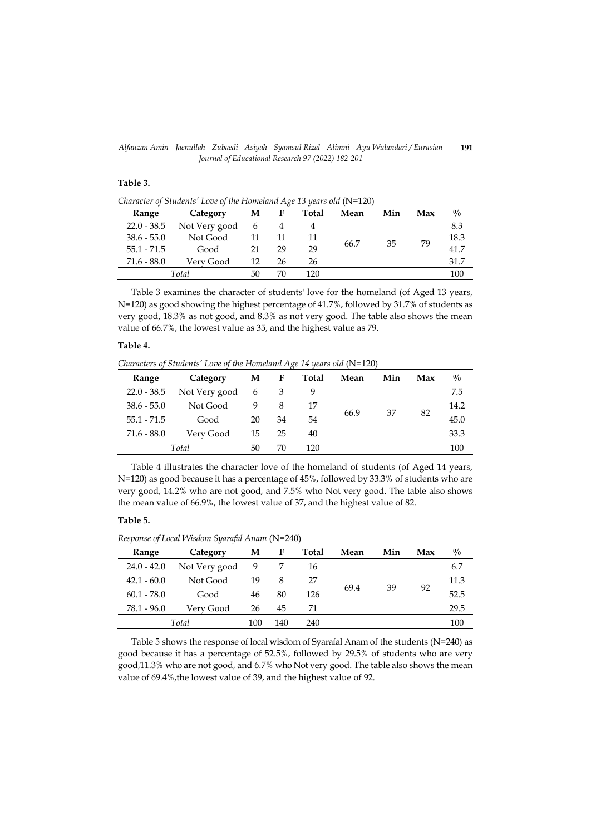**191**

# **Table 3.**

*Character of Students' Love of the Homeland Age 13 years old* (N=120)

| Range         | Category      | М  | F  | Total | Mean       | Min | Max  | $\frac{0}{0}$ |
|---------------|---------------|----|----|-------|------------|-----|------|---------------|
| $22.0 - 38.5$ | Not Very good | 6  |    |       |            |     |      | 8.3           |
| $38.6 - 55.0$ | Not Good      |    |    |       | 35<br>66.7 | 79  | 18.3 |               |
| $55.1 - 71.5$ | Good          | 21 | 29 | 29    |            |     |      | 41.7          |
| $71.6 - 88.0$ | Verv Good     | 12 | 26 | 26    |            |     |      | 31.7          |
|               | Total         | 50 | 70 | 120   |            |     |      | 100           |

Table 3 examines the character of students' love for the homeland (of Aged 13 years, N=120) as good showing the highest percentage of 41.7%, followed by 31.7% of students as very good, 18.3% as not good, and 8.3% as not very good. The table also shows the mean value of 66.7%, the lowest value as 35, and the highest value as 79.

# **Table 4.**

*Characters of Students' Love of the Homeland Age 14 years old* (N=120)

| Range         | Category      | М  | F  | Total | Mean | Min | Max | $\frac{0}{0}$ |
|---------------|---------------|----|----|-------|------|-----|-----|---------------|
| $22.0 - 38.5$ | Not Very good | 6  |    |       |      |     | 82  | 7.5           |
| $38.6 - 55.0$ | Not Good      | 9  | 8  | 17    |      |     |     | 14.2          |
| $55.1 - 71.5$ | Good          | 20 | 34 | 54    | 66.9 | 37  |     | 45.0          |
| $71.6 - 88.0$ | Verv Good     | 15 | 25 | 40    |      |     |     | 33.3          |
|               | Total         | 50 | 70 | 120   |      |     |     | 100           |

Table 4 illustrates the character love of the homeland of students (of Aged 14 years, N=120) as good because it has a percentage of 45%, followed by 33.3% of students who are very good, 14.2% who are not good, and 7.5% who Not very good. The table also shows the mean value of 66.9%, the lowest value of 37, and the highest value of 82.

# **Table 5.**

*Response of Local Wisdom Syarafal Anam* (N=240)

| Range         | Category      | М   | F   | Total | Mean | Min | Max | $\frac{0}{0}$ |
|---------------|---------------|-----|-----|-------|------|-----|-----|---------------|
| $24.0 - 42.0$ | Not Very good | 9   |     | 16    |      |     | 92  | 6.7           |
| $42.1 - 60.0$ | Not Good      | 19  | 8   | 27    |      |     |     | 11.3          |
| $60.1 - 78.0$ | Good          | 46  | 80  | 126   | 69.4 | 39  |     | 52.5          |
| $78.1 - 96.0$ | Verv Good     | 26  | 45  | 71    |      |     |     | 29.5          |
|               | Total         | 100 | 140 | 240   |      |     |     | 100           |
|               |               |     |     |       |      |     |     |               |

Table 5 shows the response of local wisdom of Syarafal Anam of the students (N=240) as good because it has a percentage of 52.5%, followed by 29.5% of students who are very good,11.3% who are not good, and 6.7% who Not very good. The table also shows the mean value of 69.4%,the lowest value of 39, and the highest value of 92.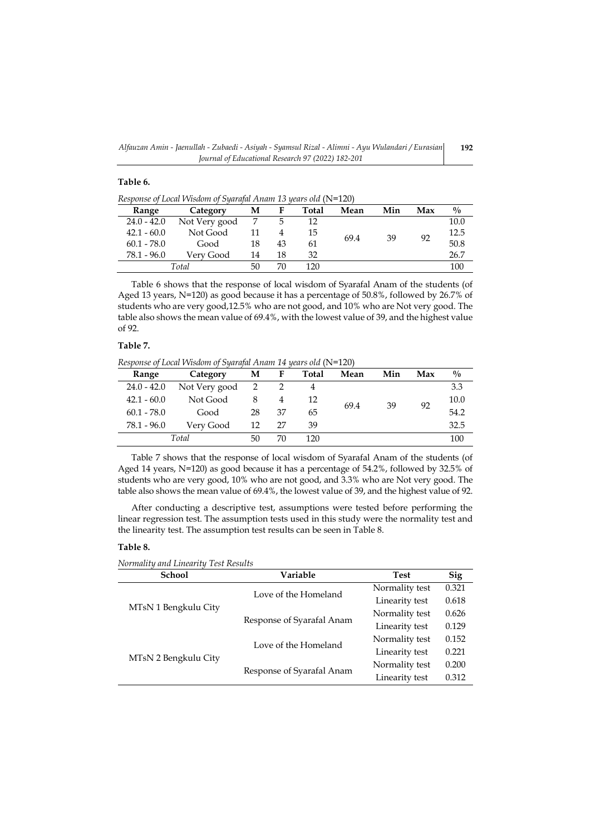# **Table 6.**

*Response of Local Wisdom of Syarafal Anam 13 years old* (N=120)

| Range         | Category      | М  | F  | <b>Total</b> | Mean | Min | Max | $\frac{0}{0}$ |
|---------------|---------------|----|----|--------------|------|-----|-----|---------------|
| $24.0 - 42.0$ | Not Very good |    |    |              |      | 39  |     | 10.0          |
| $42.1 - 60.0$ | Not Good      |    |    | 15           |      |     |     | 12.5          |
| $60.1 - 78.0$ | Good          | 18 | 43 | 61           | 69.4 |     | 92  | 50.8          |
| 78.1 - 96.0   | Verv Good     | 14 | 18 | 32           |      |     |     | 26.7          |
|               | Total         | 50 | 70 | 120          |      |     |     | 100           |

Table 6 shows that the response of local wisdom of Syarafal Anam of the students (of Aged 13 years, N=120) as good because it has a percentage of 50.8%, followed by 26.7% of students who are very good,12.5% who are not good, and 10% who are Not very good. The table also shows the mean value of 69.4%, with the lowest value of 39, and the highest value of 92.

# **Table 7.**

*Response of Local Wisdom of Syarafal Anam 14 years old* (N=120)

| Range         | Category        | М  | F  | Total | Mean       | Min | Max  | $\frac{0}{0}$ |
|---------------|-----------------|----|----|-------|------------|-----|------|---------------|
| $24.0 - 42.0$ | Not Very good 2 |    |    |       |            |     |      | 3.3           |
| $42.1 - 60.0$ | Not Good        |    | 4  | 12    | 39<br>69.4 |     | 10.0 |               |
| $60.1 - 78.0$ | Good            | 28 | 37 | 65    |            |     | 92   | 54.2          |
| $78.1 - 96.0$ | Very Good       | 12 | 27 | 39    |            |     |      | 32.5          |
|               | Total           | 50 | 70 | 120   |            |     |      | 100           |

Table 7 shows that the response of local wisdom of Syarafal Anam of the students (of Aged 14 years, N=120) as good because it has a percentage of 54.2%, followed by 32.5% of students who are very good, 10% who are not good, and 3.3% who are Not very good. The table also shows the mean value of 69.4%, the lowest value of 39, and the highest value of 92.

After conducting a descriptive test, assumptions were tested before performing the linear regression test. The assumption tests used in this study were the normality test and the linearity test. The assumption test results can be seen in Table 8.

# **Table 8.**

*Normality and Linearity Test Results*

| <b>School</b>        | Variable                  | <b>Test</b>    | <b>Sig</b> |
|----------------------|---------------------------|----------------|------------|
| MTsN 1 Bengkulu City | Love of the Homeland      | Normality test | 0.321      |
|                      |                           | Linearity test | 0.618      |
|                      |                           | Normality test | 0.626      |
|                      | Response of Syarafal Anam | Linearity test | 0.129      |
| MTsN 2 Bengkulu City | Love of the Homeland      | Normality test | 0.152      |
|                      |                           | Linearity test | 0.221      |
|                      |                           | Normality test | 0.200      |
|                      | Response of Syarafal Anam | Linearity test | 0.312      |
|                      |                           |                |            |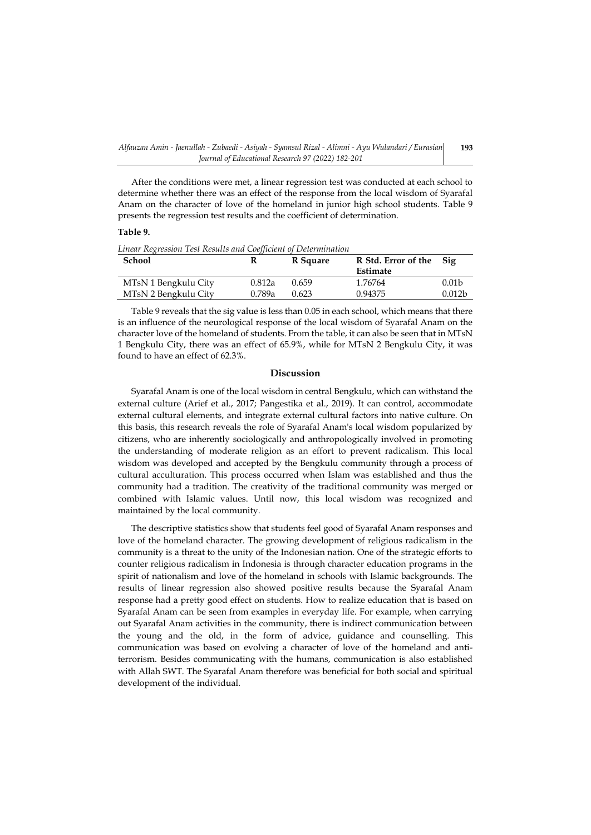After the conditions were met, a linear regression test was conducted at each school to determine whether there was an effect of the response from the local wisdom of Syarafal Anam on the character of love of the homeland in junior high school students. Table 9 presents the regression test results and the coefficient of determination.

# **Table 9.**

*Linear Regression Test Results and Coefficient of Determination*

| <b>School</b>        | R      | R Square | R Std. Error of the | Sig                |
|----------------------|--------|----------|---------------------|--------------------|
|                      |        |          | Estimate            |                    |
| MTsN 1 Bengkulu City | 0.812a | 0.659    | 1.76764             | 0.01 <sub>b</sub>  |
| MTsN 2 Bengkulu City | 0.789a | 0.623    | 0.94375             | 0.012 <sub>b</sub> |

Table 9 reveals that the sig value is less than 0.05 in each school, which means that there is an influence of the neurological response of the local wisdom of Syarafal Anam on the character love of the homeland of students. From the table, it can also be seen that in MTsN 1 Bengkulu City, there was an effect of 65.9%, while for MTsN 2 Bengkulu City, it was found to have an effect of 62.3%.

# **Discussion**

Syarafal Anam is one of the local wisdom in central Bengkulu, which can withstand the external culture (Arief et al., 2017; Pangestika et al., 2019). It can control, accommodate external cultural elements, and integrate external cultural factors into native culture. On this basis, this research reveals the role of Syarafal Anam's local wisdom popularized by citizens, who are inherently sociologically and anthropologically involved in promoting the understanding of moderate religion as an effort to prevent radicalism. This local wisdom was developed and accepted by the Bengkulu community through a process of cultural acculturation. This process occurred when Islam was established and thus the community had a tradition. The creativity of the traditional community was merged or combined with Islamic values. Until now, this local wisdom was recognized and maintained by the local community.

The descriptive statistics show that students feel good of Syarafal Anam responses and love of the homeland character. The growing development of religious radicalism in the community is a threat to the unity of the Indonesian nation. One of the strategic efforts to counter religious radicalism in Indonesia is through character education programs in the spirit of nationalism and love of the homeland in schools with Islamic backgrounds. The results of linear regression also showed positive results because the Syarafal Anam response had a pretty good effect on students. How to realize education that is based on Syarafal Anam can be seen from examples in everyday life. For example, when carrying out Syarafal Anam activities in the community, there is indirect communication between the young and the old, in the form of advice, guidance and counselling. This communication was based on evolving a character of love of the homeland and antiterrorism. Besides communicating with the humans, communication is also established with Allah SWT. The Syarafal Anam therefore was beneficial for both social and spiritual development of the individual.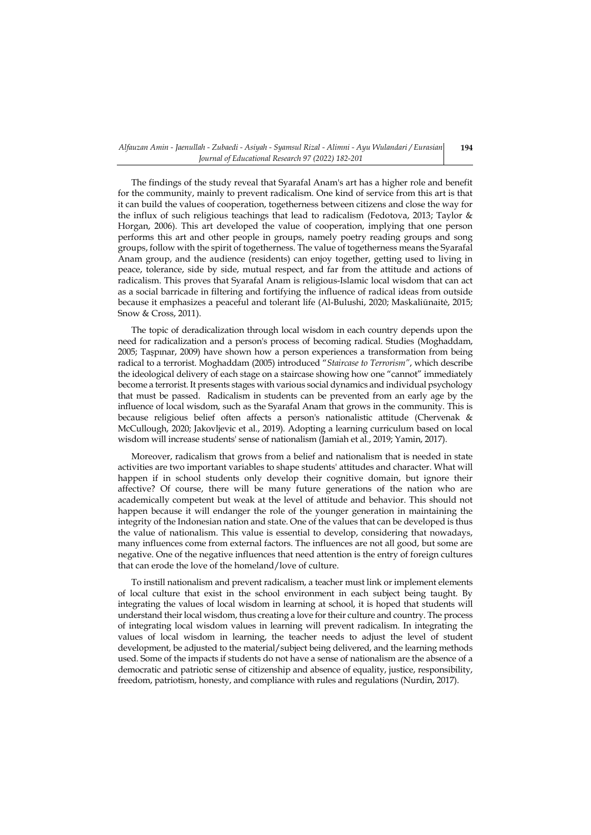The findings of the study reveal that Syarafal Anam's art has a higher role and benefit for the community, mainly to prevent radicalism. One kind of service from this art is that it can build the values of cooperation, togetherness between citizens and close the way for the influx of such religious teachings that lead to radicalism (Fedotova, 2013; Taylor & Horgan, 2006). This art developed the value of cooperation, implying that one person performs this art and other people in groups, namely poetry reading groups and song groups, follow with the spirit of togetherness. The value of togetherness means the Syarafal Anam group, and the audience (residents) can enjoy together, getting used to living in peace, tolerance, side by side, mutual respect, and far from the attitude and actions of radicalism. This proves that Syarafal Anam is religious-Islamic local wisdom that can act as a social barricade in filtering and fortifying the influence of radical ideas from outside because it emphasizes a peaceful and tolerant life (Al-Bulushi, 2020; Maskaliūnaitė, 2015; Snow & Cross, 2011).

The topic of deradicalization through local wisdom in each country depends upon the need for radicalization and a person's process of becoming radical. Studies (Moghaddam, 2005; Taşpınar, 2009) have shown how a person experiences a transformation from being radical to a terrorist. Moghaddam (2005) introduced "*Staircase to Terrorism"*, which describe the ideological delivery of each stage on a staircase showing how one "cannot" immediately become a terrorist. It presents stages with various social dynamics and individual psychology that must be passed. Radicalism in students can be prevented from an early age by the influence of local wisdom, such as the Syarafal Anam that grows in the community. This is because religious belief often affects a person's nationalistic attitude (Chervenak & McCullough, 2020; Jakovljevic et al., 2019). Adopting a learning curriculum based on local wisdom will increase students' sense of nationalism (Jamiah et al., 2019; Yamin, 2017).

Moreover, radicalism that grows from a belief and nationalism that is needed in state activities are two important variables to shape students' attitudes and character. What will happen if in school students only develop their cognitive domain, but ignore their affective? Of course, there will be many future generations of the nation who are academically competent but weak at the level of attitude and behavior. This should not happen because it will endanger the role of the younger generation in maintaining the integrity of the Indonesian nation and state. One of the values that can be developed is thus the value of nationalism. This value is essential to develop, considering that nowadays, many influences come from external factors. The influences are not all good, but some are negative. One of the negative influences that need attention is the entry of foreign cultures that can erode the love of the homeland/love of culture.

To instill nationalism and prevent radicalism, a teacher must link or implement elements of local culture that exist in the school environment in each subject being taught. By integrating the values of local wisdom in learning at school, it is hoped that students will understand their local wisdom, thus creating a love for their culture and country. The process of integrating local wisdom values in learning will prevent radicalism. In integrating the values of local wisdom in learning, the teacher needs to adjust the level of student development, be adjusted to the material/subject being delivered, and the learning methods used. Some of the impacts if students do not have a sense of nationalism are the absence of a democratic and patriotic sense of citizenship and absence of equality, justice, responsibility, freedom, patriotism, honesty, and compliance with rules and regulations (Nurdin, 2017).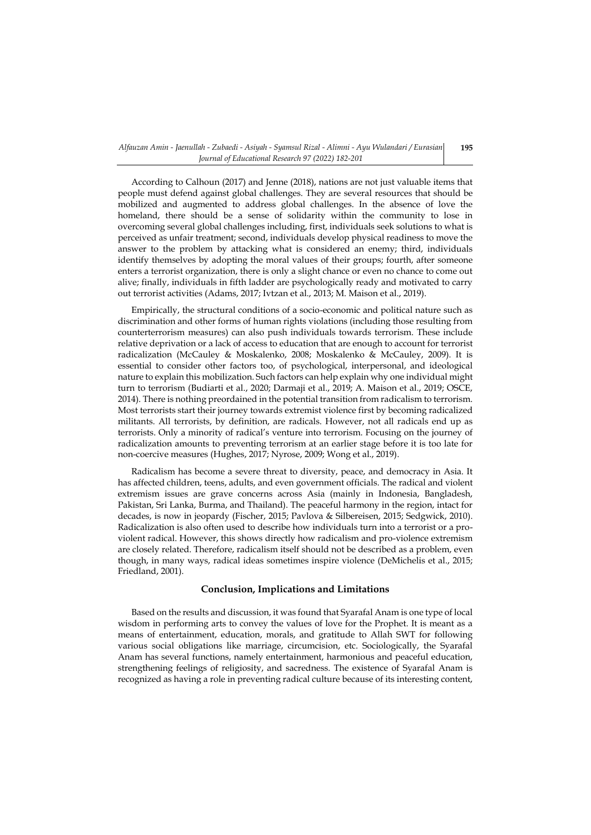According to Calhoun (2017) and Jenne (2018), nations are not just valuable items that people must defend against global challenges. They are several resources that should be mobilized and augmented to address global challenges. In the absence of love the homeland, there should be a sense of solidarity within the community to lose in overcoming several global challenges including, first, individuals seek solutions to what is perceived as unfair treatment; second, individuals develop physical readiness to move the answer to the problem by attacking what is considered an enemy; third, individuals identify themselves by adopting the moral values of their groups; fourth, after someone enters a terrorist organization, there is only a slight chance or even no chance to come out alive; finally, individuals in fifth ladder are psychologically ready and motivated to carry out terrorist activities (Adams, 2017; Ivtzan et al., 2013; M. Maison et al., 2019).

Empirically, the structural conditions of a socio-economic and political nature such as discrimination and other forms of human rights violations (including those resulting from counterterrorism measures) can also push individuals towards terrorism. These include relative deprivation or a lack of access to education that are enough to account for terrorist radicalization (McCauley & Moskalenko, 2008; Moskalenko & McCauley, 2009). It is essential to consider other factors too, of psychological, interpersonal, and ideological nature to explain this mobilization. Such factors can help explain why one individual might turn to terrorism (Budiarti et al., 2020; Darmaji et al., 2019; A. Maison et al., 2019; OSCE, 2014). There is nothing preordained in the potential transition from radicalism to terrorism. Most terrorists start their journey towards extremist violence first by becoming radicalized militants. All terrorists, by definition, are radicals. However, not all radicals end up as terrorists. Only a minority of radical's venture into terrorism. Focusing on the journey of radicalization amounts to preventing terrorism at an earlier stage before it is too late for non-coercive measures (Hughes, 2017; Nyrose, 2009; Wong et al., 2019).

Radicalism has become a severe threat to diversity, peace, and democracy in Asia. It has affected children, teens, adults, and even government officials. The radical and violent extremism issues are grave concerns across Asia (mainly in Indonesia, Bangladesh, Pakistan, Sri Lanka, Burma, and Thailand). The peaceful harmony in the region, intact for decades, is now in jeopardy (Fischer, 2015; Pavlova & Silbereisen, 2015; Sedgwick, 2010). Radicalization is also often used to describe how individuals turn into a terrorist or a proviolent radical. However, this shows directly how radicalism and pro-violence extremism are closely related. Therefore, radicalism itself should not be described as a problem, even though, in many ways, radical ideas sometimes inspire violence (DeMichelis et al., 2015; Friedland, 2001).

# **Conclusion, Implications and Limitations**

Based on the results and discussion, it was found that Syarafal Anam is one type of local wisdom in performing arts to convey the values of love for the Prophet. It is meant as a means of entertainment, education, morals, and gratitude to Allah SWT for following various social obligations like marriage, circumcision, etc. Sociologically, the Syarafal Anam has several functions, namely entertainment, harmonious and peaceful education, strengthening feelings of religiosity, and sacredness. The existence of Syarafal Anam is recognized as having a role in preventing radical culture because of its interesting content,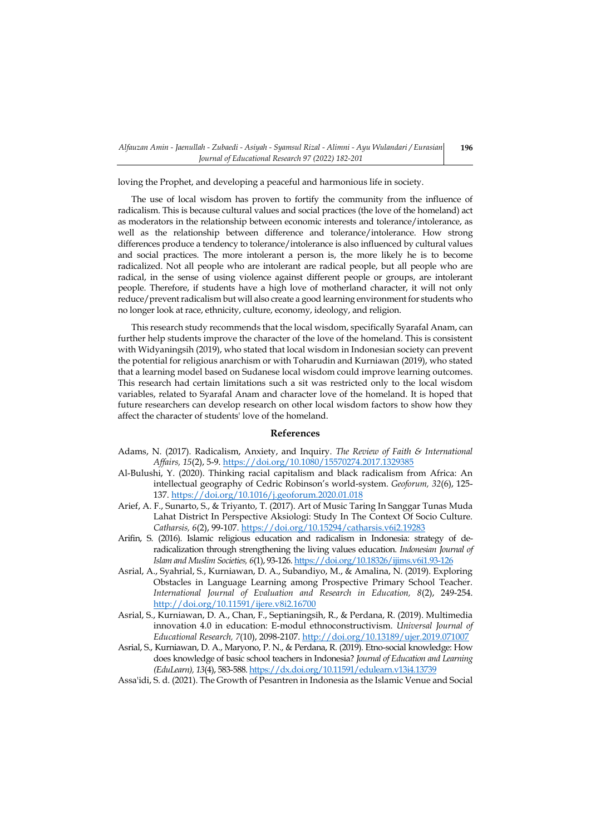loving the Prophet, and developing a peaceful and harmonious life in society.

The use of local wisdom has proven to fortify the community from the influence of radicalism. This is because cultural values and social practices (the love of the homeland) act as moderators in the relationship between economic interests and tolerance/intolerance, as well as the relationship between difference and tolerance/intolerance. How strong differences produce a tendency to tolerance/intolerance is also influenced by cultural values and social practices. The more intolerant a person is, the more likely he is to become radicalized. Not all people who are intolerant are radical people, but all people who are radical, in the sense of using violence against different people or groups, are intolerant people. Therefore, if students have a high love of motherland character, it will not only reduce/prevent radicalism but will also create a good learning environment for students who no longer look at race, ethnicity, culture, economy, ideology, and religion.

This research study recommends that the local wisdom, specifically Syarafal Anam, can further help students improve the character of the love of the homeland. This is consistent with Widyaningsih (2019), who stated that local wisdom in Indonesian society can prevent the potential for religious anarchism or with Toharudin and Kurniawan (2019), who stated that a learning model based on Sudanese local wisdom could improve learning outcomes. This research had certain limitations such a sit was restricted only to the local wisdom variables, related to Syarafal Anam and character love of the homeland. It is hoped that future researchers can develop research on other local wisdom factors to show how they affect the character of students' love of the homeland.

## **References**

- Adams, N. (2017). Radicalism, Anxiety, and Inquiry. *The Review of Faith & International Affairs, 15*(2), 5-9.<https://doi.org/10.1080/15570274.2017.1329385>
- Al-Bulushi, Y. (2020). Thinking racial capitalism and black radicalism from Africa: An intellectual geography of Cedric Robinson's world-system. *Geoforum, 32*(6), 125- 137.<https://doi.org/10.1016/j.geoforum.2020.01.018>
- Arief, A. F., Sunarto, S., & Triyanto, T. (2017). Art of Music Taring In Sanggar Tunas Muda Lahat District In Perspective Aksiologi: Study In The Context Of Socio Culture. *Catharsis, 6*(2), 99-107[. https://doi.org/10.15294/catharsis.v6i2.19283](https://doi.org/10.15294/catharsis.v6i2.19283)
- Arifin, S. (2016). Islamic religious education and radicalism in Indonesia: strategy of deradicalization through strengthening the living values education. *Indonesian Journal of Islam and Muslim Societies, 6*(1), 93-126[. https://doi.org/10.18326/ijims.v6i1.93-126](https://doi.org/10.18326/ijims.v6i1.93-126)
- Asrial, A., Syahrial, S., Kurniawan, D. A., Subandiyo, M., & Amalina, N. (2019). Exploring Obstacles in Language Learning among Prospective Primary School Teacher. *International Journal of Evaluation and Research in Education, 8*(2), 249-254. <http://doi.org/10.11591/ijere.v8i2.16700>
- Asrial, S., Kurniawan, D. A., Chan, F., Septianingsih, R., & Perdana, R. (2019). Multimedia innovation 4.0 in education: E-modul ethnoconstructivism. *Universal Journal of Educational Research, 7*(10), 2098-2107.<http://doi.org/10.13189/ujer.2019.071007>
- Asrial, S., Kurniawan, D. A., Maryono, P. N., & Perdana, R. (2019). Etno-social knowledge: How does knowledge of basic school teachers in Indonesia? *Journal of Education and Learning (EduLearn), 13*(4), 583-588[. https://dx.doi.org/10.11591/edulearn.v13i4.13739](https://dx.doi.org/10.11591/edulearn.v13i4.13739)

Assa'idi, S. d. (2021). The Growth of Pesantren in Indonesia as the Islamic Venue and Social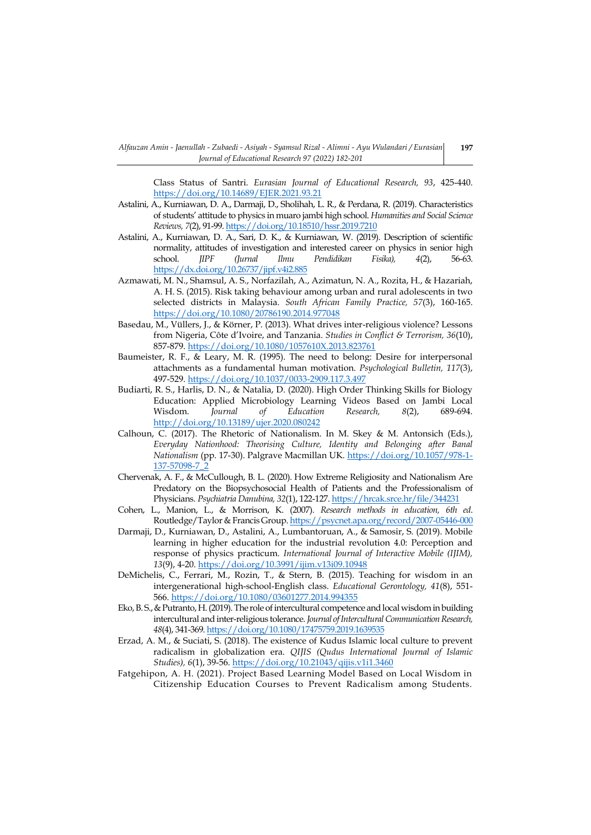Class Status of Santri. *Eurasian Journal of Educational Research, 93*, 425-440. <https://doi.org/10.14689/EJER.2021.93.21>

- Astalini, A., Kurniawan, D. A., Darmaji, D., Sholihah, L. R., & Perdana, R. (2019). Characteristics of students' attitude to physics in muaro jambi high school. *Humanities and Social Science Reviews, 7*(2), 91-99[. https://doi.org/10.18510/hssr.2019.7210](https://doi.org/10.18510/hssr.2019.7210)
- Astalini, A., Kurniawan, D. A., Sari, D. K., & Kurniawan, W. (2019). Description of scientific normality, attitudes of investigation and interested career on physics in senior high school. *JIPF (Jurnal Ilmu Pendidikan Fisika), 4*(2), 56-63. <https://dx.doi.org/10.26737/jipf.v4i2.885>
- Azmawati, M. N., Shamsul, A. S., Norfazilah, A., Azimatun, N. A., Rozita, H., & Hazariah, A. H. S. (2015). Risk taking behaviour among urban and rural adolescents in two selected districts in Malaysia. *South African Family Practice, 57*(3), 160-165. <https://doi.org/10.1080/20786190.2014.977048>
- Basedau, M., Vüllers, J., & Körner, P. (2013). What drives inter-religious violence? Lessons from Nigeria, Côte d'Ivoire, and Tanzania. *Studies in Conflict & Terrorism, 36*(10), 857-879[. https://doi.org/10.1080/1057610X.2013.823761](https://doi.org/10.1080/1057610X.2013.823761)
- Baumeister, R. F., & Leary, M. R. (1995). The need to belong: Desire for interpersonal attachments as a fundamental human motivation. *Psychological Bulletin, 117*(3), 497-529[. https://doi.org/10.1037/0033-2909.117.3.497](https://doi.org/10.1037/0033-2909.117.3.497)
- Budiarti, R. S., Harlis, D. N., & Natalia, D. (2020). High Order Thinking Skills for Biology Education: Applied Microbiology Learning Videos Based on Jambi Local Wisdom. *Journal of Education Research, 8*(2), 689-694. <http://doi.org/10.13189/ujer.2020.080242>
- Calhoun, C. (2017). The Rhetoric of Nationalism. In M. Skey & M. Antonsich (Eds.), *Everyday Nationhood: Theorising Culture, Identity and Belonging after Banal Nationalism* (pp. 17-30). Palgrave Macmillan UK. [https://doi.org/10.1057/978-1-](https://doi.org/10.1057/978-1-137-57098-7_2) [137-57098-7\\_2](https://doi.org/10.1057/978-1-137-57098-7_2)
- Chervenak, A. F., & McCullough, B. L. (2020). How Extreme Religiosity and Nationalism Are Predatory on the Biopsychosocial Health of Patients and the Professionalism of Physicians. *Psychiatria Danubina, 32*(1), 122-127[. https://hrcak.srce.hr/file/344231](https://hrcak.srce.hr/file/344231)
- Cohen, L., Manion, L., & Morrison, K. (2007). *Research methods in education, 6th ed*. Routledge/Taylor & Francis Group[. https://psycnet.apa.org/record/2007-05446-000](https://psycnet.apa.org/record/2007-05446-000)
- Darmaji, D., Kurniawan, D., Astalini, A., Lumbantoruan, A., & Samosir, S. (2019). Mobile learning in higher education for the industrial revolution 4.0: Perception and response of physics practicum. *International Journal of Interactive Mobile (IJIM), 13*(9), 4-20.<https://doi.org/10.3991/ijim.v13i09.10948>
- DeMichelis, C., Ferrari, M., Rozin, T., & Stern, B. (2015). Teaching for wisdom in an intergenerational high-school-English class. *Educational Gerontology, 41*(8), 551- 566.<https://doi.org/10.1080/03601277.2014.994355>
- Eko, B. S., & Putranto, H. (2019). The role of intercultural competence and local wisdom in building intercultural and inter-religious tolerance. *Journal of Intercultural Communication Research, 48*(4), 341-369[. https://doi.org/10.1080/17475759.2019.1639535](https://doi.org/10.1080/17475759.2019.1639535)
- Erzad, A. M., & Suciati, S. (2018). The existence of Kudus Islamic local culture to prevent radicalism in globalization era. *QIJIS (Qudus International Journal of Islamic Studies), 6*(1), 39-56[. https://doi.org/10.21043/qijis.v1i1.3460](https://doi.org/10.21043/qijis.v1i1.3460)
- Fatgehipon, A. H. (2021). Project Based Learning Model Based on Local Wisdom in Citizenship Education Courses to Prevent Radicalism among Students.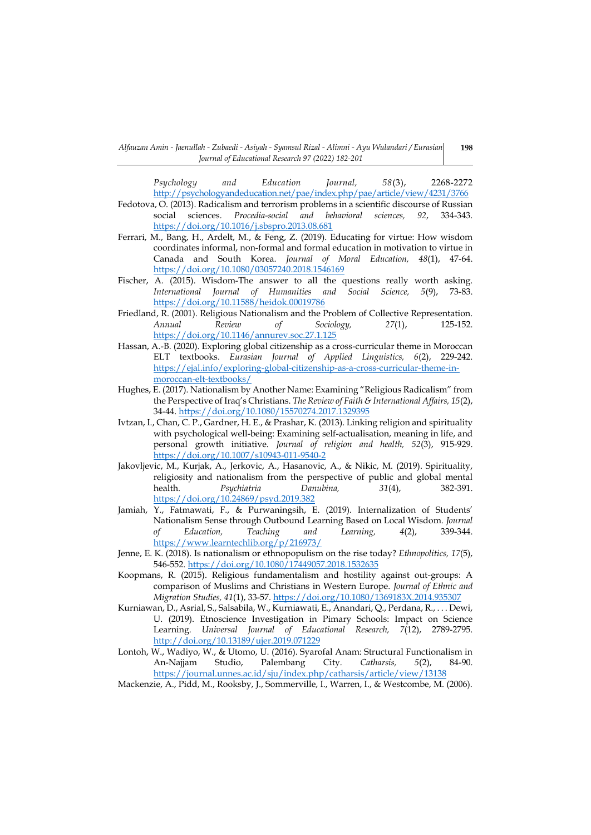*Psychology and Education Journal, 58*(3), 2268-2272 <http://psychologyandeducation.net/pae/index.php/pae/article/view/4231/3766>

- Fedotova, O. (2013). Radicalism and terrorism problems in a scientific discourse of Russian social sciences. *Procedia-social and behavioral sciences, 92*, 334-343. <https://doi.org/10.1016/j.sbspro.2013.08.681>
- Ferrari, M., Bang, H., Ardelt, M., & Feng, Z. (2019). Educating for virtue: How wisdom coordinates informal, non-formal and formal education in motivation to virtue in Canada and South Korea. *Journal of Moral Education, 48*(1), 47-64. <https://doi.org/10.1080/03057240.2018.1546169>
- Fischer, A. (2015). Wisdom-The answer to all the questions really worth asking. *International Journal of Humanities and Social Science, 5*(9), 73-83. <https://doi.org/10.11588/heidok.00019786>
- Friedland, R. (2001). Religious Nationalism and the Problem of Collective Representation. *Annual Review of Sociology, 27*(1), 125-152. <https://doi.org/10.1146/annurev.soc.27.1.125>
- Hassan, A.-B. (2020). Exploring global citizenship as a cross-curricular theme in Moroccan ELT textbooks. *Eurasian Journal of Applied Linguistics, 6*(2), 229-242. [https://ejal.info/exploring-global-citizenship-as-a-cross-curricular-theme-in](https://ejal.info/exploring-global-citizenship-as-a-cross-curricular-theme-in-moroccan-elt-textbooks/)[moroccan-elt-textbooks/](https://ejal.info/exploring-global-citizenship-as-a-cross-curricular-theme-in-moroccan-elt-textbooks/)
- Hughes, E. (2017). Nationalism by Another Name: Examining "Religious Radicalism" from the Perspective of Iraq's Christians. *The Review of Faith & International Affairs, 15*(2), 34-44[. https://doi.org/10.1080/15570274.2017.1329395](https://doi.org/10.1080/15570274.2017.1329395)
- Ivtzan, I., Chan, C. P., Gardner, H. E., & Prashar, K. (2013). Linking religion and spirituality with psychological well-being: Examining self-actualisation, meaning in life, and personal growth initiative. *Journal of religion and health, 52*(3), 915-929. <https://doi.org/10.1007/s10943-011-9540-2>
- Jakovljevic, M., Kurjak, A., Jerkovic, A., Hasanovic, A., & Nikic, M. (2019). Spirituality, religiosity and nationalism from the perspective of public and global mental<br>health. 282-391.  $31(4)$ , 382-391. health. *Psychiatria Danubina, 31*(4), 382-391. <https://doi.org/10.24869/psyd.2019.382>
- Jamiah, Y., Fatmawati, F., & Purwaningsih, E. (2019). Internalization of Students' Nationalism Sense through Outbound Learning Based on Local Wisdom. *Journal of Education, Teaching and Learning, 4*(2), 339-344. <https://www.learntechlib.org/p/216973/>
- Jenne, E. K. (2018). Is nationalism or ethnopopulism on the rise today? *Ethnopolitics, 17*(5), 546-552[. https://doi.org/10.1080/17449057.2018.1532635](https://doi.org/10.1080/17449057.2018.1532635)
- Koopmans, R. (2015). Religious fundamentalism and hostility against out-groups: A comparison of Muslims and Christians in Western Europe. *Journal of Ethnic and Migration Studies, 41*(1), 33-57[. https://doi.org/10.1080/1369183X.2014.935307](https://doi.org/10.1080/1369183X.2014.935307)
- Kurniawan, D., Asrial, S., Salsabila, W., Kurniawati, E., Anandari, Q., Perdana, R., . . . Dewi, U. (2019). Etnoscience Investigation in Pimary Schools: Impact on Science Learning. *Universal Journal of Educational Research, 7*(12), 2789-2795. <http://doi.org/10.13189/ujer.2019.071229>
- Lontoh, W., Wadiyo, W., & Utomo, U. (2016). Syarofal Anam: Structural Functionalism in An-Najjam Studio, Palembang City. *Catharsis, 5*(2), 84-90. <https://journal.unnes.ac.id/sju/index.php/catharsis/article/view/13138>
- Mackenzie, A., Pidd, M., Rooksby, J., Sommerville, I., Warren, I., & Westcombe, M. (2006).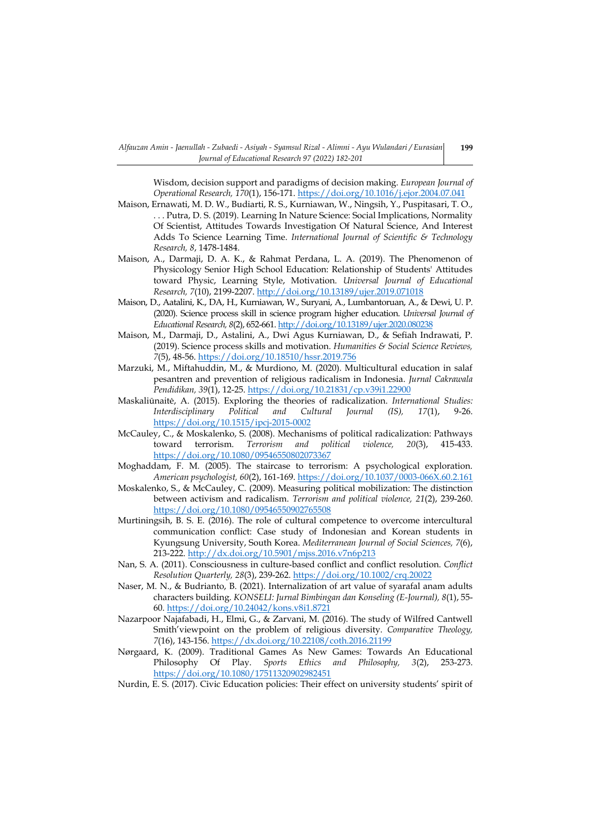Wisdom, decision support and paradigms of decision making. *European Journal of Operational Research, 170*(1), 156-171.<https://doi.org/10.1016/j.ejor.2004.07.041>

- Maison, Ernawati, M. D. W., Budiarti, R. S., Kurniawan, W., Ningsih, Y., Puspitasari, T. O., . . . Putra, D. S. (2019). Learning In Nature Science: Social Implications, Normality Of Scientist, Attitudes Towards Investigation Of Natural Science, And Interest Adds To Science Learning Time. *International Journal of Scientific & Technology Research, 8*, 1478-1484.
- Maison, A., Darmaji, D. A. K., & Rahmat Perdana, L. A. (2019). The Phenomenon of Physicology Senior High School Education: Relationship of Students' Attitudes toward Physic, Learning Style, Motivation. *Universal Journal of Educational Research, 7*(10), 2199-2207.<http://doi.org/10.13189/ujer.2019.071018>
- Maison, D., Aatalini, K., DA, H., Kurniawan, W., Suryani, A., Lumbantoruan, A., & Dewi, U. P. (2020). Science process skill in science program higher education. *Universal Journal of Educational Research, 8*(2), 652-661[. http://doi.org/10.13189/ujer.2020.080238](http://doi.org/10.13189/ujer.2020.080238)
- Maison, M., Darmaji, D., Astalini, A., Dwi Agus Kurniawan, D., & Sefiah Indrawati, P. (2019). Science process skills and motivation. *Humanities & Social Science Reviews, 7*(5), 48-56.<https://doi.org/10.18510/hssr.2019.756>
- Marzuki, M., Miftahuddin, M., & Murdiono, M. (2020). Multicultural education in salaf pesantren and prevention of religious radicalism in Indonesia. *Jurnal Cakrawala Pendidikan, 39*(1), 12-25.<https://doi.org/10.21831/cp.v39i1.22900>
- Maskaliūnaitė, A. (2015). Exploring the theories of radicalization. *International Studies: Interdisciplinary Political and Cultural Journal (IS), 17*(1), 9-26. <https://doi.org/10.1515/ipcj-2015-0002>
- McCauley, C., & Moskalenko, S. (2008). Mechanisms of political radicalization: Pathways toward terrorism. *Terrorism and political violence, 20*(3), 415-433. <https://doi.org/10.1080/09546550802073367>
- Moghaddam, F. M. (2005). The staircase to terrorism: A psychological exploration. *American psychologist, 60*(2), 161-169.<https://doi.org/10.1037/0003-066X.60.2.161>
- Moskalenko, S., & McCauley, C. (2009). Measuring political mobilization: The distinction between activism and radicalism. *Terrorism and political violence, 21*(2), 239-260. <https://doi.org/10.1080/09546550902765508>
- Murtiningsih, B. S. E. (2016). The role of cultural competence to overcome intercultural communication conflict: Case study of Indonesian and Korean students in Kyungsung University, South Korea. *Mediterranean Journal of Social Sciences, 7*(6), 213-222[. http://dx.doi.org/10.5901/mjss.2016.v7n6p213](http://dx.doi.org/10.5901/mjss.2016.v7n6p213)
- Nan, S. A. (2011). Consciousness in culture‐based conflict and conflict resolution. *Conflict Resolution Quarterly, 28*(3), 239-262[. https://doi.org/10.1002/crq.20022](https://doi.org/10.1002/crq.20022)
- Naser, M. N., & Budrianto, B. (2021). Internalization of art value of syarafal anam adults characters building. *KONSELI: Jurnal Bimbingan dan Konseling (E-Journal), 8*(1), 55- 60[. https://doi.org/10.24042/kons.v8i1.8721](https://doi.org/10.24042/kons.v8i1.8721)
- Nazarpoor Najafabadi, H., Elmi, G., & Zarvani, M. (2016). The study of Wilfred Cantwell Smith'viewpoint on the problem of religious diversity. *Comparative Theology, 7*(16), 143-156[. https://dx.doi.org/10.22108/coth.2016.21199](https://dx.doi.org/10.22108/coth.2016.21199)
- Nørgaard, K. (2009). Traditional Games As New Games: Towards An Educational Philosophy Of Play. *Sports Ethics and Philosophy, 3*(2), 253-273. <https://doi.org/10.1080/17511320902982451>

Nurdin, E. S. (2017). Civic Education policies: Their effect on university students' spirit of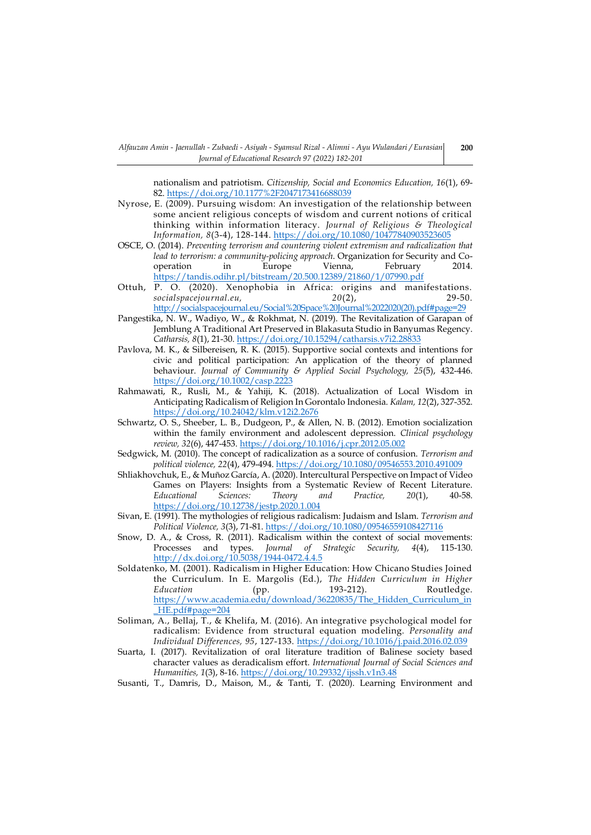nationalism and patriotism. *Citizenship, Social and Economics Education, 16*(1), 69- 82[. https://doi.org/10.1177%2F2047173416688039](https://doi.org/10.1177%2F2047173416688039)

- Nyrose, E. (2009). Pursuing wisdom: An investigation of the relationship between some ancient religious concepts of wisdom and current notions of critical thinking within information literacy. *Journal of Religious & Theological Information, 8*(3-4), 128-144. <https://doi.org/10.1080/10477840903523605>
- OSCE, O. (2014). *Preventing terrorism and countering violent extremism and radicalization that lead to terrorism: a community-policing approach*. Organization for Security and Cooperation in Europe Vienna, February 2014. <https://tandis.odihr.pl/bitstream/20.500.12389/21860/1/07990.pdf>
- Ottuh, P. O. (2020). Xenophobia in Africa: origins and manifestations.<br>socialspacejournal.eu, 20(2), 29-50. *socialspacejournal.eu, 20*(2), 29-50. [http://socialspacejournal.eu/Social%20Space%20Journal%2022020\(20\).pdf#page=29](http://socialspacejournal.eu/Social%20Space%20Journal%2022020(20).pdf#page=29)
- Pangestika, N. W., Wadiyo, W., & Rokhmat, N. (2019). The Revitalization of Garapan of Jemblung A Traditional Art Preserved in Blakasuta Studio in Banyumas Regency. *Catharsis, 8*(1), 21-30.<https://doi.org/10.15294/catharsis.v7i2.28833>
- Pavlova, M. K., & Silbereisen, R. K. (2015). Supportive social contexts and intentions for civic and political participation: An application of the theory of planned behaviour. *Journal of Community & Applied Social Psychology, 25*(5), 432-446. <https://doi.org/10.1002/casp.2223>
- Rahmawati, R., Rusli, M., & Yahiji, K. (2018). Actualization of Local Wisdom in Anticipating Radicalism of Religion In Gorontalo Indonesia. *Kalam, 12*(2), 327-352. <https://doi.org/10.24042/klm.v12i2.2676>
- Schwartz, O. S., Sheeber, L. B., Dudgeon, P., & Allen, N. B. (2012). Emotion socialization within the family environment and adolescent depression. *Clinical psychology review, 32*(6), 447-453.<https://doi.org/10.1016/j.cpr.2012.05.002>
- Sedgwick, M. (2010). The concept of radicalization as a source of confusion. *Terrorism and political violence, 22*(4), 479-494[. https://doi.org/10.1080/09546553.2010.491009](https://doi.org/10.1080/09546553.2010.491009)
- Shliakhovchuk, E., & Muñoz García, A. (2020). Intercultural Perspective on Impact of Video Games on Players: Insights from a Systematic Review of Recent Literature.<br>Educational Sciences: Theory and Practice, 20(1), 40-58. *Educational Sciences: Theory and Practice, 20(1),* <https://doi.org/10.12738/jestp.2020.1.004>
- Sivan, E. (1991). The mythologies of religious radicalism: Judaism and Islam. *Terrorism and Political Violence, 3*(3), 71-81.<https://doi.org/10.1080/09546559108427116>
- Snow, D. A., & Cross, R. (2011). Radicalism within the context of social movements: Processes and types. *Journal of Strategic Security, 4*(4), 115-130. <http://dx.doi.org/10.5038/1944-0472.4.4.5>
- Soldatenko, M. (2001). Radicalism in Higher Education: How Chicano Studies Joined the Curriculum. In E. Margolis (Ed.), *The Hidden Curriculum in Higher*  Education (pp. 193-212). Routledge. [https://www.academia.edu/download/36220835/The\\_Hidden\\_Curriculum\\_in](https://www.academia.edu/download/36220835/The_Hidden_Curriculum_in_HE.pdf#page=204) [\\_HE.pdf#page=204](https://www.academia.edu/download/36220835/The_Hidden_Curriculum_in_HE.pdf#page=204)
- Soliman, A., Bellaj, T., & Khelifa, M. (2016). An integrative psychological model for radicalism: Evidence from structural equation modeling. *Personality and Individual Differences, 95*, 127-133.<https://doi.org/10.1016/j.paid.2016.02.039>
- Suarta, I. (2017). Revitalization of oral literature tradition of Balinese society based character values as deradicalism effort. *International Journal of Social Sciences and Humanities, 1*(3), 8-16.<https://doi.org/10.29332/ijssh.v1n3.48>
- Susanti, T., Damris, D., Maison, M., & Tanti, T. (2020). Learning Environment and